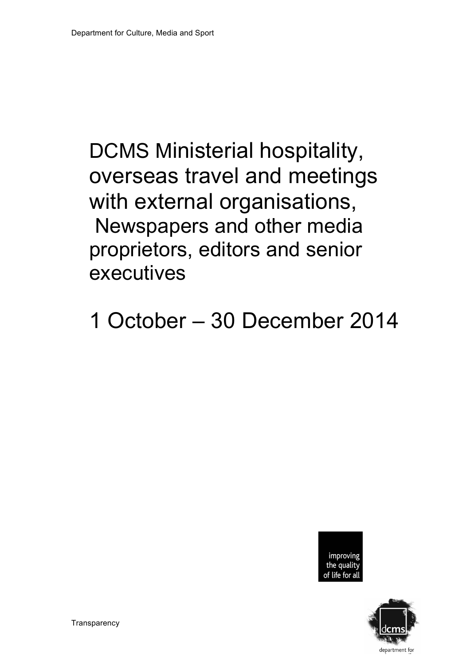# DCMS Ministerial hospitality, overseas travel and meetings with external organisations, Newspapers and other media proprietors, editors and senior executives

1 October – 30 December 2014



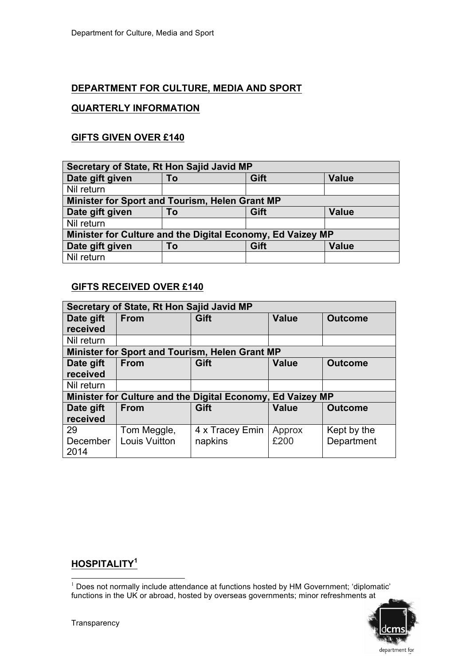# **DEPARTMENT FOR CULTURE, MEDIA AND SPORT**

# **QUARTERLY INFORMATION**

# **GIFTS GIVEN OVER £140**

| Secretary of State, Rt Hon Sajid Javid MP                  |    |      |              |  |
|------------------------------------------------------------|----|------|--------------|--|
| Date gift given                                            | To | Gift | <b>Value</b> |  |
| Nil return                                                 |    |      |              |  |
| Minister for Sport and Tourism, Helen Grant MP             |    |      |              |  |
| Date gift given                                            | To | Gift | <b>Value</b> |  |
| Nil return                                                 |    |      |              |  |
| Minister for Culture and the Digital Economy, Ed Vaizey MP |    |      |              |  |
| Date gift given                                            | To | Gift | <b>Value</b> |  |
| Nil return                                                 |    |      |              |  |

#### **GIFTS RECEIVED OVER £140**

| Secretary of State, Rt Hon Sajid Javid MP |                      |                                                            |              |                |
|-------------------------------------------|----------------------|------------------------------------------------------------|--------------|----------------|
| Date gift                                 | <b>From</b>          | Gift                                                       | <b>Value</b> | <b>Outcome</b> |
| received                                  |                      |                                                            |              |                |
| Nil return                                |                      |                                                            |              |                |
|                                           |                      | <b>Minister for Sport and Tourism, Helen Grant MP</b>      |              |                |
| Date gift                                 | <b>From</b>          | Gift                                                       | <b>Value</b> | <b>Outcome</b> |
| received                                  |                      |                                                            |              |                |
| Nil return                                |                      |                                                            |              |                |
|                                           |                      | Minister for Culture and the Digital Economy, Ed Vaizey MP |              |                |
| Date gift                                 | <b>From</b>          | Gift                                                       | <b>Value</b> | <b>Outcome</b> |
| received                                  |                      |                                                            |              |                |
| 29                                        | Tom Meggle,          | 4 x Tracey Emin                                            | Approx       | Kept by the    |
| December                                  | <b>Louis Vuitton</b> | napkins                                                    | £200         | Department     |
| 2014                                      |                      |                                                            |              |                |

# **HOSPITALITY<sup>1</sup>**

 <sup>1</sup> Does not normally include attendance at functions hosted by HM Government; 'diplomatic' functions in the UK or abroad, hosted by overseas governments; minor refreshments at

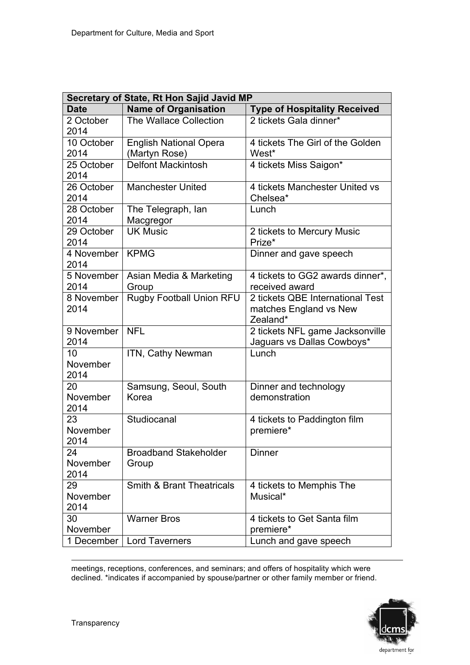| Secretary of State, Rt Hon Sajid Javid MP |                                                |                                                                        |  |
|-------------------------------------------|------------------------------------------------|------------------------------------------------------------------------|--|
| <b>Date</b>                               | <b>Name of Organisation</b>                    | <b>Type of Hospitality Received</b>                                    |  |
| 2 October<br>2014                         | The Wallace Collection                         | 2 tickets Gala dinner*                                                 |  |
| 10 October<br>2014                        | <b>English National Opera</b><br>(Martyn Rose) | 4 tickets The Girl of the Golden<br>West*                              |  |
| 25 October<br>2014                        | Delfont Mackintosh                             | 4 tickets Miss Saigon*                                                 |  |
| 26 October<br>2014                        | <b>Manchester United</b>                       | 4 tickets Manchester United vs<br>Chelsea*                             |  |
| 28 October<br>2014                        | The Telegraph, lan<br>Macgregor                | Lunch                                                                  |  |
| 29 October<br>2014                        | <b>UK Music</b>                                | 2 tickets to Mercury Music<br>Prize*                                   |  |
| 4 November<br>2014                        | <b>KPMG</b>                                    | Dinner and gave speech                                                 |  |
| 5 November<br>2014                        | Asian Media & Marketing<br>Group               | 4 tickets to GG2 awards dinner*,<br>received award                     |  |
| 8 November<br>2014                        | <b>Rugby Football Union RFU</b>                | 2 tickets QBE International Test<br>matches England vs New<br>Zealand* |  |
| 9 November<br>2014                        | <b>NFL</b>                                     | 2 tickets NFL game Jacksonville<br>Jaguars vs Dallas Cowboys*          |  |
| 10<br>November<br>2014                    | ITN, Cathy Newman                              | Lunch                                                                  |  |
| 20<br>November<br>2014                    | Samsung, Seoul, South<br>Korea                 | Dinner and technology<br>demonstration                                 |  |
| 23<br>November<br>2014                    | Studiocanal                                    | 4 tickets to Paddington film<br>premiere*                              |  |
| 24<br>November<br>2014                    | <b>Broadband Stakeholder</b><br>Group          | <b>Dinner</b>                                                          |  |
| 29<br>November<br>2014                    | <b>Smith &amp; Brant Theatricals</b>           | 4 tickets to Memphis The<br>Musical*                                   |  |
| 30<br>November                            | <b>Warner Bros</b>                             | 4 tickets to Get Santa film<br>premiere*                               |  |
| 1 December                                | <b>Lord Taverners</b>                          | Lunch and gave speech                                                  |  |

1 meetings, receptions, conferences, and seminars; and offers of hospitality which were declined. \*indicates if accompanied by spouse/partner or other family member or friend.

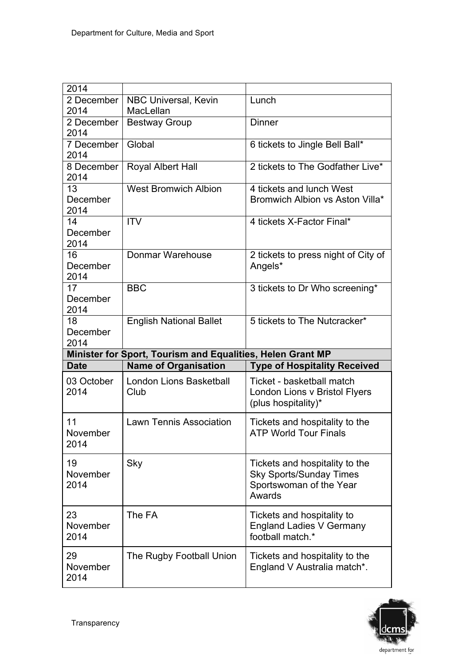| 2014             |                                                            |                                     |
|------------------|------------------------------------------------------------|-------------------------------------|
| 2 December       | NBC Universal, Kevin                                       | Lunch                               |
| 2014             | MacLellan                                                  |                                     |
|                  |                                                            |                                     |
| 2 December       | <b>Bestway Group</b>                                       | <b>Dinner</b>                       |
| 2014             |                                                            |                                     |
| 7 December       | Global                                                     | 6 tickets to Jingle Bell Ball*      |
| 2014             |                                                            |                                     |
| 8 December       | Royal Albert Hall                                          | 2 tickets to The Godfather Live*    |
| 2014             |                                                            |                                     |
| 13               | <b>West Bromwich Albion</b>                                | 4 tickets and lunch West            |
| December         |                                                            | Bromwich Albion vs Aston Villa*     |
| 2014             |                                                            |                                     |
| 14               | <b>ITV</b>                                                 | 4 tickets X-Factor Final*           |
| December         |                                                            |                                     |
| 2014             |                                                            |                                     |
|                  |                                                            |                                     |
| 16               | Donmar Warehouse                                           | 2 tickets to press night of City of |
| December         |                                                            | Angels*                             |
| 2014             |                                                            |                                     |
| 17               | <b>BBC</b>                                                 | 3 tickets to Dr Who screening*      |
| December         |                                                            |                                     |
| 2014             |                                                            |                                     |
| 18               | <b>English National Ballet</b>                             | 5 tickets to The Nutcracker*        |
| December         |                                                            |                                     |
|                  |                                                            |                                     |
|                  |                                                            |                                     |
| 2014             |                                                            |                                     |
|                  | Minister for Sport, Tourism and Equalities, Helen Grant MP |                                     |
| <b>Date</b>      | <b>Name of Organisation</b>                                | <b>Type of Hospitality Received</b> |
| 03 October       | London Lions Basketball                                    | Ticket - basketball match           |
| 2014             | Club                                                       | London Lions v Bristol Flyers       |
|                  |                                                            | (plus hospitality)*                 |
|                  |                                                            |                                     |
| 11               | <b>Lawn Tennis Association</b>                             | Tickets and hospitality to the      |
| November         |                                                            | <b>ATP World Tour Finals</b>        |
| 2014             |                                                            |                                     |
|                  |                                                            |                                     |
| 19               | Sky                                                        | Tickets and hospitality to the      |
| November         |                                                            | <b>Sky Sports/Sunday Times</b>      |
| 2014             |                                                            | Sportswoman of the Year             |
|                  |                                                            | Awards                              |
|                  |                                                            |                                     |
| 23               | The FA                                                     | Tickets and hospitality to          |
| November         |                                                            | <b>England Ladies V Germany</b>     |
| 2014             |                                                            | football match.*                    |
|                  |                                                            |                                     |
| 29               | The Rugby Football Union                                   | Tickets and hospitality to the      |
| November<br>2014 |                                                            | England V Australia match*.         |

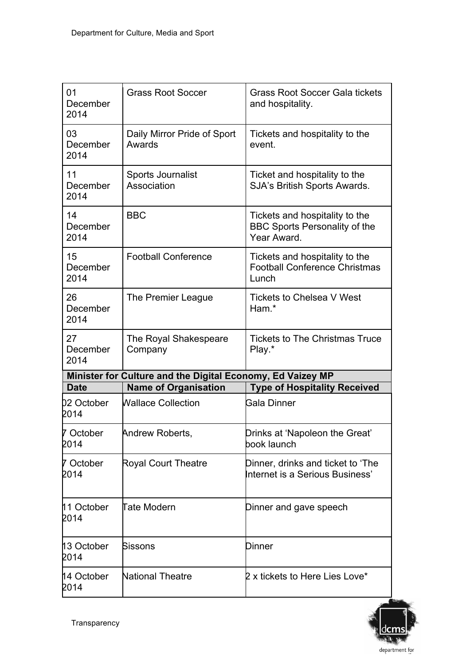| 01<br>December<br>2014            | <b>Grass Root Soccer</b>                                   | <b>Grass Root Soccer Gala tickets</b><br>and hospitality.                             |
|-----------------------------------|------------------------------------------------------------|---------------------------------------------------------------------------------------|
| 03<br>December<br>2014            | Daily Mirror Pride of Sport<br>Awards                      | Tickets and hospitality to the<br>event.                                              |
| 11<br>December<br>2014            | Sports Journalist<br>Association                           | Ticket and hospitality to the<br>SJA's British Sports Awards.                         |
| 14<br>December<br>2014            | <b>BBC</b>                                                 | Tickets and hospitality to the<br><b>BBC Sports Personality of the</b><br>Year Award. |
| 15<br>December<br>2014            | <b>Football Conference</b>                                 | Tickets and hospitality to the<br><b>Football Conference Christmas</b><br>Lunch       |
| 26<br>December<br>2014            | The Premier League                                         | Tickets to Chelsea V West<br>Ham.*                                                    |
| 27<br>December<br>2014            | The Royal Shakespeare<br>Company                           | <b>Tickets to The Christmas Truce</b><br>Play.*                                       |
|                                   |                                                            |                                                                                       |
|                                   | Minister for Culture and the Digital Economy, Ed Vaizey MP |                                                                                       |
| <b>Date</b><br>02 October<br>2014 | <b>Name of Organisation</b><br><b>Wallace Collection</b>   | <b>Type of Hospitality Received</b><br>Gala Dinner                                    |
| 7 October<br>2014                 | Andrew Roberts,                                            | Drinks at 'Napoleon the Great'<br>book launch                                         |
| 7 October<br>2014                 | <b>Royal Court Theatre</b>                                 | Dinner, drinks and ticket to 'The<br>Internet is a Serious Business'                  |
| 11 October<br>2014                | <b>Tate Modern</b>                                         | Dinner and gave speech                                                                |
| 13 October<br>2014                | Sissons                                                    | Dinner                                                                                |

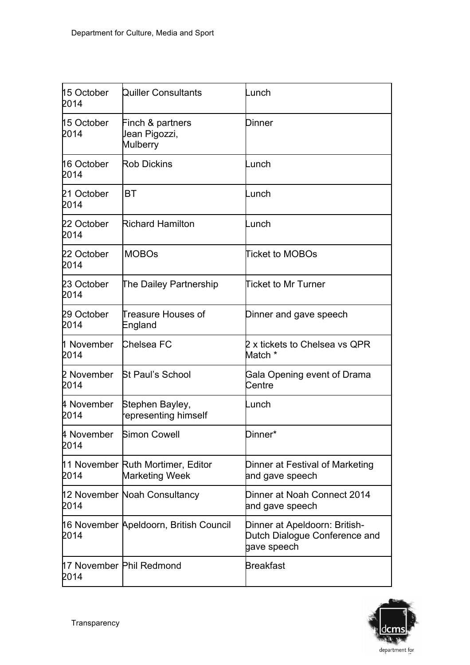| 15 October<br>2014        | Quiller Consultants                                        | unch-                                                                         |
|---------------------------|------------------------------------------------------------|-------------------------------------------------------------------------------|
| 15 October<br>2014        | Finch & partners<br>Jean Pigozzi,<br>Mulberry              | Dinner                                                                        |
| 16 October<br>2014        | <b>Rob Dickins</b>                                         | unch-                                                                         |
| 21 October<br>2014        | BT                                                         | .unch                                                                         |
| 22 October<br><b>2014</b> | <b>Richard Hamilton</b>                                    | unch-                                                                         |
| 22 October<br>2014        | <b>MOBOs</b>                                               | Ticket to MOBOs                                                               |
| 23 October<br>2014        | The Dailey Partnership                                     | Ticket to Mr Turner                                                           |
| 29 October<br>2014        | Treasure Houses of<br>England                              | Dinner and gave speech                                                        |
| 1 November<br>2014        | Chelsea FC                                                 | 2 x tickets to Chelsea vs QPR<br>Match *                                      |
| 2 November<br>2014        | <b>St Paul's School</b>                                    | Gala Opening event of Drama<br>Centre                                         |
| 4 November<br>2014        | Stephen Bayley,<br>representing himself                    | unch-                                                                         |
| 4 November<br>2014        | Simon Cowell                                               | Dinner*                                                                       |
| 2014                      | 11 November Ruth Mortimer, Editor<br><b>Marketing Week</b> | Dinner at Festival of Marketing<br>and gave speech                            |
| <b>2014</b>               | 12 November Noah Consultancy                               | Dinner at Noah Connect 2014<br>and gave speech                                |
| 2014                      | 16 November Apeldoorn, British Council                     | Dinner at Apeldoorn: British-<br>Dutch Dialogue Conference and<br>gave speech |
| 2014                      | 17 November Phil Redmond                                   | Breakfast                                                                     |

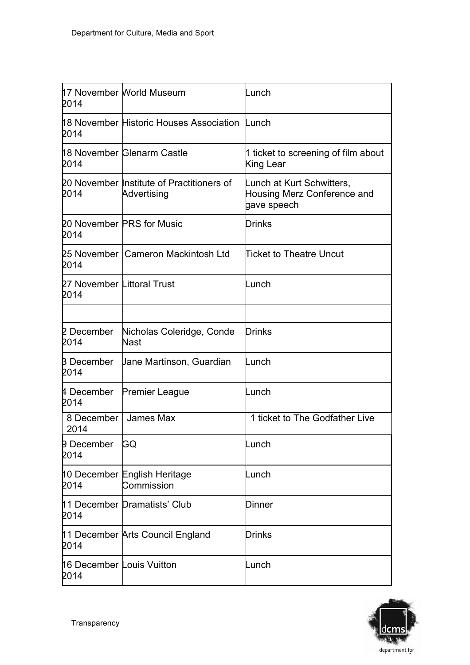| <b>2014</b>                        | 17 November World Museum                                 | -unch                                                                   |
|------------------------------------|----------------------------------------------------------|-------------------------------------------------------------------------|
| 2014                               | 18 November Historic Houses Association                  | Lunch                                                                   |
| 2014                               | 18 November Glenarm Castle                               | 1 ticket to screening of film about<br>King Lear                        |
| 2014                               | 20 November Institute of Practitioners of<br>Advertising | Lunch at Kurt Schwitters,<br>Housing Merz Conference and<br>gave speech |
| <b>2014</b>                        | 20 November PRS for Music                                | Drinks                                                                  |
| 2014                               | 25 November   Cameron Mackintosh Ltd                     | <b>Ticket to Theatre Uncut</b>                                          |
| 27 November Littoral Trust<br>2014 |                                                          | ∟unch                                                                   |
| 2 December<br>2014                 | Nicholas Coleridge, Conde<br>Nast                        | Drinks                                                                  |
| <b>B</b> December<br>2014          | Uane Martinson, Guardian                                 | unch-                                                                   |
| 4 December<br>2014                 | Premier League                                           | -unch                                                                   |
| 8 December  <br>2014               | James Max                                                | 1 ticket to The Godfather Live                                          |
| <b>9 December</b><br>2014          | GQ                                                       | _unch                                                                   |
| 2014                               | 10 December English Heritage<br>Commission               | _unch                                                                   |
| 2014                               | 11 December Dramatists' Club                             | Dinner                                                                  |
| 2014                               | 11 December Arts Council England                         | Drinks                                                                  |
| 16 December Louis Vuitton<br>2014  |                                                          | _unch                                                                   |

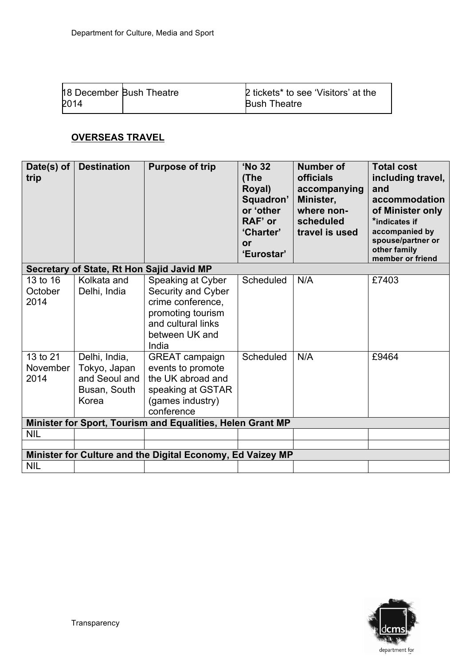| <b>18 December Bush Theatre</b> | <b>2</b> tickets* to see 'Visitors' at the |
|---------------------------------|--------------------------------------------|
| 2014                            | <b>Bush Theatre</b>                        |

# **OVERSEAS TRAVEL**

| Date(s) of<br>trip           | <b>Destination</b>                                                      | <b>Purpose of trip</b>                                                                                                             | 'No 32<br>(The<br>Royal)<br>Squadron'<br>or 'other<br>RAF' or<br>'Charter'<br>or<br>'Eurostar' | <b>Number of</b><br>officials<br>accompanying<br>Minister,<br>where non-<br>scheduled<br>travel is used | <b>Total cost</b><br>including travel,<br>and<br>accommodation<br>of Minister only<br>*indicates if<br>accompanied by<br>spouse/partner or<br>other family<br>member or friend |
|------------------------------|-------------------------------------------------------------------------|------------------------------------------------------------------------------------------------------------------------------------|------------------------------------------------------------------------------------------------|---------------------------------------------------------------------------------------------------------|--------------------------------------------------------------------------------------------------------------------------------------------------------------------------------|
|                              | Secretary of State, Rt Hon Sajid Javid MP                               |                                                                                                                                    |                                                                                                |                                                                                                         |                                                                                                                                                                                |
| 13 to 16<br>October<br>2014  | Kolkata and<br>Delhi, India                                             | Speaking at Cyber<br>Security and Cyber<br>crime conference,<br>promoting tourism<br>and cultural links<br>between UK and<br>India | Scheduled                                                                                      | N/A                                                                                                     | £7403                                                                                                                                                                          |
| 13 to 21<br>November<br>2014 | Delhi, India,<br>Tokyo, Japan<br>and Seoul and<br>Busan, South<br>Korea | <b>GREAT campaign</b><br>events to promote<br>the UK abroad and<br>speaking at GSTAR<br>(games industry)<br>conference             | <b>Scheduled</b>                                                                               | N/A                                                                                                     | £9464                                                                                                                                                                          |
|                              |                                                                         | Minister for Sport, Tourism and Equalities, Helen Grant MP                                                                         |                                                                                                |                                                                                                         |                                                                                                                                                                                |
| <b>NIL</b>                   |                                                                         |                                                                                                                                    |                                                                                                |                                                                                                         |                                                                                                                                                                                |
|                              |                                                                         |                                                                                                                                    |                                                                                                |                                                                                                         |                                                                                                                                                                                |
|                              |                                                                         | Minister for Culture and the Digital Economy, Ed Vaizey MP                                                                         |                                                                                                |                                                                                                         |                                                                                                                                                                                |
| <b>NIL</b>                   |                                                                         |                                                                                                                                    |                                                                                                |                                                                                                         |                                                                                                                                                                                |

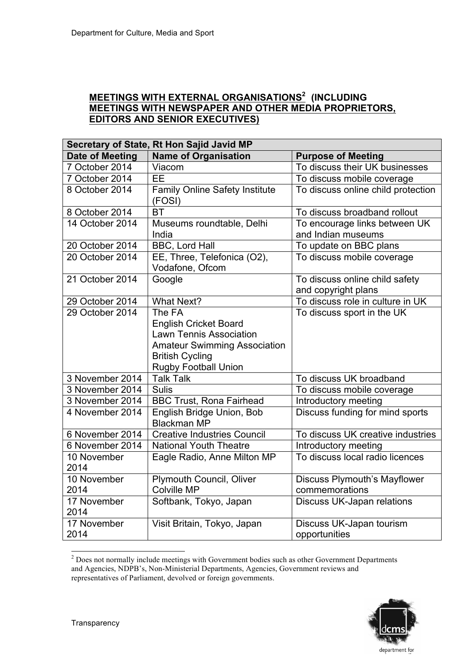# **MEETINGS WITH EXTERNAL ORGANISATIONS2 (INCLUDING MEETINGS WITH NEWSPAPER AND OTHER MEDIA PROPRIETORS, EDITORS AND SENIOR EXECUTIVES)**

| Secretary of State, Rt Hon Sajid Javid MP |                                       |                                     |  |
|-------------------------------------------|---------------------------------------|-------------------------------------|--|
| <b>Date of Meeting</b>                    | <b>Name of Organisation</b>           | <b>Purpose of Meeting</b>           |  |
| 7 October 2014                            | Viacom                                | To discuss their UK businesses      |  |
| 7 October 2014                            | EE                                    | To discuss mobile coverage          |  |
| 8 October 2014                            | <b>Family Online Safety Institute</b> | To discuss online child protection  |  |
|                                           | (FOSI)                                |                                     |  |
| 8 October 2014                            | <b>BT</b>                             | To discuss broadband rollout        |  |
| 14 October 2014                           | Museums roundtable, Delhi             | To encourage links between UK       |  |
|                                           | India                                 | and Indian museums                  |  |
| 20 October 2014                           | BBC, Lord Hall                        | To update on BBC plans              |  |
| 20 October 2014                           | EE, Three, Telefonica (O2),           | To discuss mobile coverage          |  |
|                                           | Vodafone, Ofcom                       |                                     |  |
| 21 October 2014                           | Google                                | To discuss online child safety      |  |
|                                           |                                       | and copyright plans                 |  |
| 29 October 2014                           | <b>What Next?</b>                     | To discuss role in culture in UK    |  |
| 29 October 2014                           | The FA                                | To discuss sport in the UK          |  |
|                                           | <b>English Cricket Board</b>          |                                     |  |
|                                           | <b>Lawn Tennis Association</b>        |                                     |  |
|                                           | <b>Amateur Swimming Association</b>   |                                     |  |
|                                           | <b>British Cycling</b>                |                                     |  |
|                                           | <b>Rugby Football Union</b>           |                                     |  |
| 3 November 2014                           | <b>Talk Talk</b>                      | To discuss UK broadband             |  |
| 3 November 2014                           | <b>Sulis</b>                          | To discuss mobile coverage          |  |
| 3 November 2014                           | <b>BBC Trust, Rona Fairhead</b>       | <b>Introductory meeting</b>         |  |
| 4 November 2014                           | English Bridge Union, Bob             | Discuss funding for mind sports     |  |
|                                           | <b>Blackman MP</b>                    |                                     |  |
| 6 November 2014                           | <b>Creative Industries Council</b>    | To discuss UK creative industries   |  |
| 6 November 2014                           | <b>National Youth Theatre</b>         | Introductory meeting                |  |
| 10 November                               | Eagle Radio, Anne Milton MP           | To discuss local radio licences     |  |
| 2014                                      |                                       |                                     |  |
| 10 November                               | <b>Plymouth Council, Oliver</b>       | <b>Discuss Plymouth's Mayflower</b> |  |
| 2014                                      | <b>Colville MP</b>                    | commemorations                      |  |
| 17 November                               | Softbank, Tokyo, Japan                | Discuss UK-Japan relations          |  |
| 2014                                      |                                       |                                     |  |
| 17 November                               | Visit Britain, Tokyo, Japan           | Discuss UK-Japan tourism            |  |
| 2014                                      |                                       | opportunities                       |  |

<sup>&</sup>lt;sup>2</sup> Does not normally include meetings with Government bodies such as other Government Departments and Agencies, NDPB's, Non-Ministerial Departments, Agencies, Government reviews and representatives of Parliament, devolved or foreign governments.

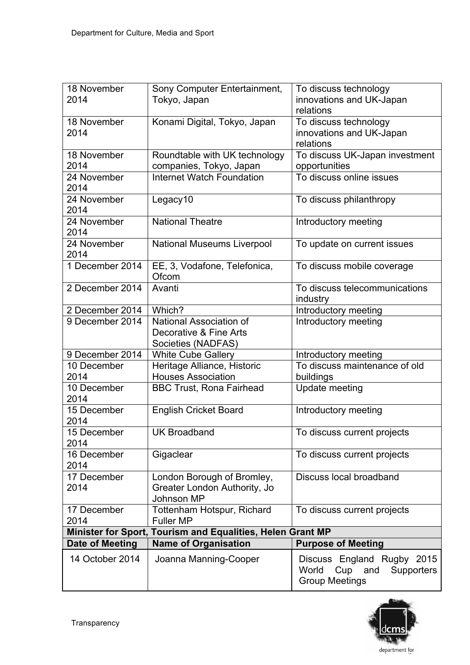| 18 November<br>2014        | Sony Computer Entertainment,<br>Tokyo, Japan                             | To discuss technology<br>innovations and UK-Japan                                            |
|----------------------------|--------------------------------------------------------------------------|----------------------------------------------------------------------------------------------|
| 18 November<br>2014        | Konami Digital, Tokyo, Japan                                             | relations<br>To discuss technology<br>innovations and UK-Japan<br>relations                  |
| 18 November<br>2014        | Roundtable with UK technology<br>companies, Tokyo, Japan                 | To discuss UK-Japan investment<br>opportunities                                              |
| 24 November<br>2014        | <b>Internet Watch Foundation</b>                                         | To discuss online issues                                                                     |
| 24 November<br>2014        | Legacy10                                                                 | To discuss philanthropy                                                                      |
| 24 November<br>2014        | <b>National Theatre</b>                                                  | Introductory meeting                                                                         |
| 24 November<br>2014        | <b>National Museums Liverpool</b>                                        | To update on current issues                                                                  |
| 1 December 2014            | EE, 3, Vodafone, Telefonica,<br>Ofcom                                    | To discuss mobile coverage                                                                   |
| 2 December 2014            | Avanti                                                                   | To discuss telecommunications<br>industry                                                    |
| 2 December 2014            | Which?                                                                   | Introductory meeting                                                                         |
| 9 December 2014            | National Association of<br>Decorative & Fine Arts<br>Societies (NADFAS)  | Introductory meeting                                                                         |
| 9 December 2014            | <b>White Cube Gallery</b>                                                | Introductory meeting                                                                         |
| 10 December<br>2014        | Heritage Alliance, Historic<br><b>Houses Association</b>                 | To discuss maintenance of old<br>buildings                                                   |
| 10 December<br>2014        | <b>BBC Trust, Rona Fairhead</b>                                          | <b>Update meeting</b>                                                                        |
| 15 December<br>2014        | <b>English Cricket Board</b>                                             | Introductory meeting                                                                         |
| 15 December<br>2014        | <b>UK Broadband</b>                                                      | To discuss current projects                                                                  |
| 16 December<br>2014        | Gigaclear                                                                | To discuss current projects                                                                  |
| 17 December<br>2014        | London Borough of Bromley,<br>Greater London Authority, Jo<br>Johnson MP | Discuss local broadband                                                                      |
| 17 December<br>2014        | Tottenham Hotspur, Richard<br><b>Fuller MP</b>                           | To discuss current projects                                                                  |
| <b>Minister for Sport,</b> | Tourism and Equalities, Helen Grant MP                                   |                                                                                              |
| Date of Meeting            | <b>Name of Organisation</b>                                              | <b>Purpose of Meeting</b>                                                                    |
| 14 October 2014            | Joanna Manning-Cooper                                                    | Discuss England Rugby 2015<br>World<br>Cup and<br><b>Supporters</b><br><b>Group Meetings</b> |

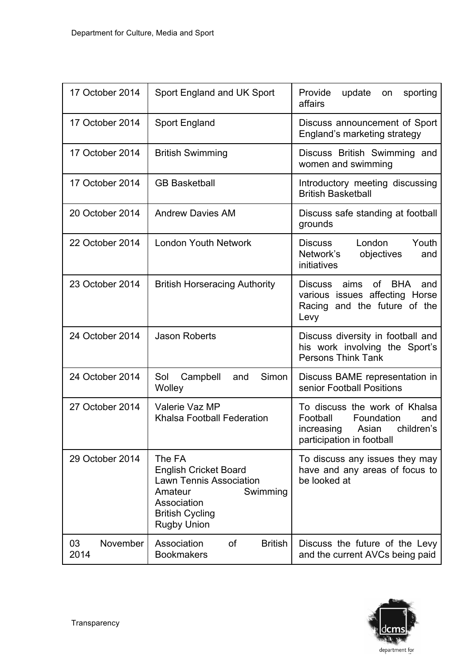| 17 October 2014        | Sport England and UK Sport                                                                                                                                     | Provide<br>sporting<br>update<br>on<br>affairs                                                                                   |
|------------------------|----------------------------------------------------------------------------------------------------------------------------------------------------------------|----------------------------------------------------------------------------------------------------------------------------------|
| 17 October 2014        | Sport England                                                                                                                                                  | Discuss announcement of Sport<br>England's marketing strategy                                                                    |
| 17 October 2014        | <b>British Swimming</b>                                                                                                                                        | Discuss British Swimming and<br>women and swimming                                                                               |
| 17 October 2014        | <b>GB Basketball</b>                                                                                                                                           | Introductory meeting discussing<br><b>British Basketball</b>                                                                     |
| 20 October 2014        | <b>Andrew Davies AM</b>                                                                                                                                        | Discuss safe standing at football<br>grounds                                                                                     |
| 22 October 2014        | <b>London Youth Network</b>                                                                                                                                    | Youth<br>London<br>Discuss<br>Network's<br>objectives<br>and<br>initiatives                                                      |
| 23 October 2014        | <b>British Horseracing Authority</b>                                                                                                                           | <b>BHA</b><br>aims<br><b>of</b><br>Discuss<br>and<br>various issues affecting Horse<br>Racing and the future of the<br>Levy      |
| 24 October 2014        | <b>Jason Roberts</b>                                                                                                                                           | Discuss diversity in football and<br>his work involving the Sport's<br><b>Persons Think Tank</b>                                 |
| 24 October 2014        | Simon<br>Sol<br>Campbell<br>and<br>Wolley                                                                                                                      | Discuss BAME representation in<br>senior Football Positions                                                                      |
| 27 October 2014        | Valerie Vaz MP<br>Khalsa Football Federation                                                                                                                   | To discuss the work of Khalsa<br>Football<br>Foundation<br>and<br>Asian<br>children's<br>increasing<br>participation in football |
| 29 October 2014        | The FA<br><b>English Cricket Board</b><br><b>Lawn Tennis Association</b><br>Amateur<br>Swimming<br>Association<br><b>British Cycling</b><br><b>Rugby Union</b> | To discuss any issues they may<br>have and any areas of focus to<br>be looked at                                                 |
| November<br>03<br>2014 | Association<br>of<br><b>British</b><br><b>Bookmakers</b>                                                                                                       | Discuss the future of the Levy<br>and the current AVCs being paid                                                                |

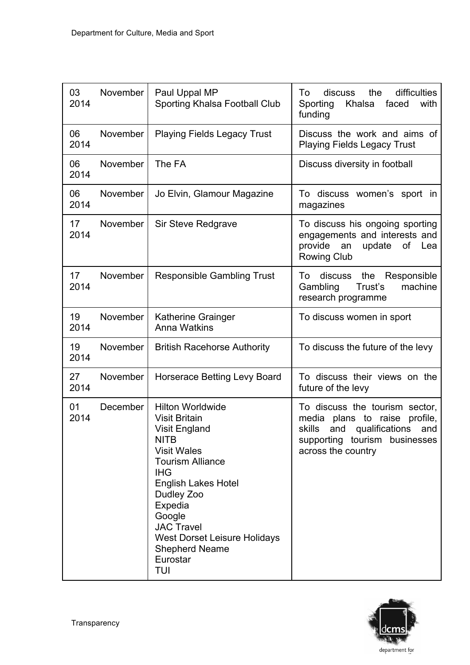| 03<br>2014 | November | Paul Uppal MP<br>Sporting Khalsa Football Club                                                                                                                                                                                                                                                                                 | difficulties<br>discuss<br>the<br>To<br>Sporting<br>Khalsa<br>faced<br>with<br>funding                                                                                 |
|------------|----------|--------------------------------------------------------------------------------------------------------------------------------------------------------------------------------------------------------------------------------------------------------------------------------------------------------------------------------|------------------------------------------------------------------------------------------------------------------------------------------------------------------------|
| 06<br>2014 | November | <b>Playing Fields Legacy Trust</b>                                                                                                                                                                                                                                                                                             | Discuss the work and aims of<br><b>Playing Fields Legacy Trust</b>                                                                                                     |
| 06<br>2014 | November | The FA                                                                                                                                                                                                                                                                                                                         | Discuss diversity in football                                                                                                                                          |
| 06<br>2014 | November | Jo Elvin, Glamour Magazine                                                                                                                                                                                                                                                                                                     | To discuss women's sport in<br>magazines                                                                                                                               |
| 17<br>2014 | November | Sir Steve Redgrave                                                                                                                                                                                                                                                                                                             | To discuss his ongoing sporting<br>engagements and interests and<br>provide<br>update<br>οf<br>an<br>Lea<br><b>Rowing Club</b>                                         |
| 17<br>2014 | November | <b>Responsible Gambling Trust</b>                                                                                                                                                                                                                                                                                              | discuss<br>the<br>To<br>Responsible<br>Trust's<br>machine<br>Gambling<br>research programme                                                                            |
| 19<br>2014 | November | <b>Katherine Grainger</b><br><b>Anna Watkins</b>                                                                                                                                                                                                                                                                               | To discuss women in sport                                                                                                                                              |
| 19<br>2014 | November | <b>British Racehorse Authority</b>                                                                                                                                                                                                                                                                                             | To discuss the future of the levy                                                                                                                                      |
| 27<br>2014 | November | <b>Horserace Betting Levy Board</b>                                                                                                                                                                                                                                                                                            | To discuss their views on the<br>future of the levy                                                                                                                    |
| 01<br>2014 | December | <b>Hilton Worldwide</b><br><b>Visit Britain</b><br><b>Visit England</b><br><b>NITB</b><br><b>Visit Wales</b><br><b>Tourism Alliance</b><br><b>IHG</b><br><b>English Lakes Hotel</b><br>Dudley Zoo<br>Expedia<br>Google<br><b>JAC Travel</b><br><b>West Dorset Leisure Holidays</b><br><b>Shepherd Neame</b><br>Eurostar<br>TUI | To discuss the tourism sector,<br>media<br>profile,<br>plans to raise<br>skills<br>qualifications<br>and<br>and<br>supporting tourism businesses<br>across the country |

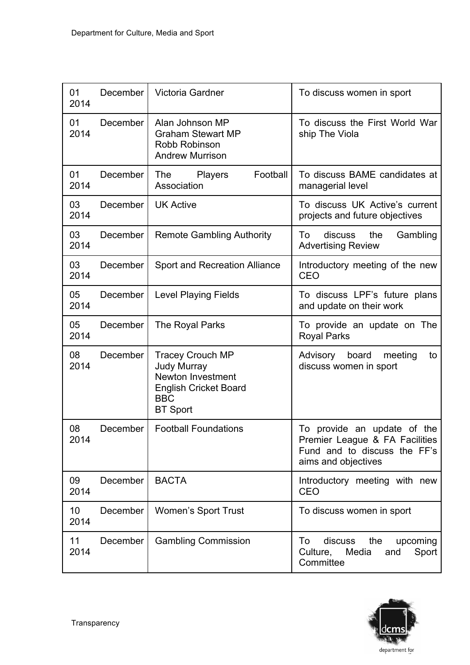| 01<br>2014 | <b>December</b> | Victoria Gardner                                                                                                                    | To discuss women in sport                                                                                            |
|------------|-----------------|-------------------------------------------------------------------------------------------------------------------------------------|----------------------------------------------------------------------------------------------------------------------|
| 01<br>2014 | December        | Alan Johnson MP<br><b>Graham Stewart MP</b><br>Robb Robinson<br><b>Andrew Murrison</b>                                              | To discuss the First World War<br>ship The Viola                                                                     |
| 01<br>2014 | December        | Football<br><b>The</b><br><b>Players</b><br>Association                                                                             | To discuss BAME candidates at<br>managerial level                                                                    |
| 03<br>2014 | December        | <b>UK Active</b>                                                                                                                    | To discuss UK Active's current<br>projects and future objectives                                                     |
| 03<br>2014 | December        | <b>Remote Gambling Authority</b>                                                                                                    | discuss<br>the<br>Gambling<br>To<br><b>Advertising Review</b>                                                        |
| 03<br>2014 | December        | <b>Sport and Recreation Alliance</b>                                                                                                | Introductory meeting of the new<br>CEO                                                                               |
| 05<br>2014 | December        | <b>Level Playing Fields</b>                                                                                                         | To discuss LPF's future plans<br>and update on their work                                                            |
| 05<br>2014 | December        | The Royal Parks                                                                                                                     | To provide an update on The<br><b>Royal Parks</b>                                                                    |
| 08<br>2014 | December        | <b>Tracey Crouch MP</b><br><b>Judy Murray</b><br>Newton Investment<br><b>English Cricket Board</b><br><b>BBC</b><br><b>BT</b> Sport | Advisory<br>board<br>meeting<br>to<br>discuss women in sport                                                         |
| 08<br>2014 | December        | <b>Football Foundations</b>                                                                                                         | To provide an update of the<br>Premier League & FA Facilities<br>Fund and to discuss the FF's<br>aims and objectives |
| 09<br>2014 | December        | <b>BACTA</b>                                                                                                                        | Introductory meeting with new<br>CEO                                                                                 |
| 10<br>2014 | December        | <b>Women's Sport Trust</b>                                                                                                          | To discuss women in sport                                                                                            |
| 11<br>2014 | December        | <b>Gambling Commission</b>                                                                                                          | the<br>upcoming<br>To<br>discuss<br>Media<br>Sport<br>Culture,<br>and<br>Committee                                   |

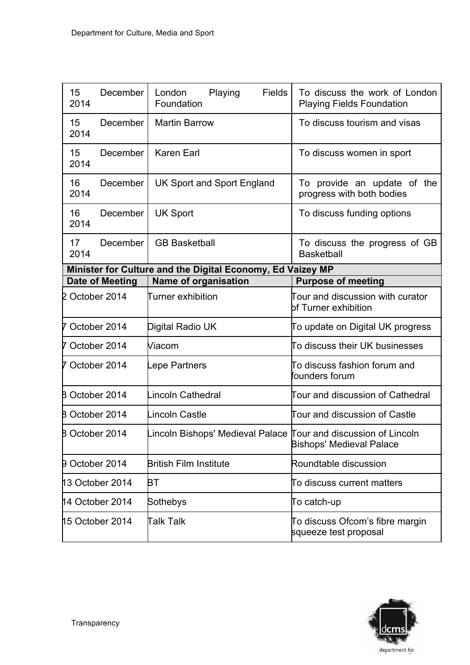| 15<br>2014            | December        | <b>Fields</b><br>London<br>Playing<br>Foundation               | To discuss the work of London<br><b>Playing Fields Foundation</b> |
|-----------------------|-----------------|----------------------------------------------------------------|-------------------------------------------------------------------|
| 15<br>2014            | December        | <b>Martin Barrow</b>                                           | To discuss tourism and visas                                      |
| 15<br>2014            | December        | <b>Karen Earl</b>                                              | To discuss women in sport                                         |
| 16<br>2014            | December        | <b>UK Sport and Sport England</b>                              | To provide an update of the<br>progress with both bodies          |
| 16<br>2014            | December        | <b>UK Sport</b>                                                | To discuss funding options                                        |
| 17<br>2014            | <b>December</b> | <b>GB Basketball</b>                                           | To discuss the progress of GB<br><b>Basketball</b>                |
|                       |                 | Minister for Culture and the Digital Economy, Ed Vaizey MP     |                                                                   |
|                       | Date of Meeting | <b>Name of organisation</b>                                    | <b>Purpose of meeting</b>                                         |
| 2 October 2014        |                 | Turner exhibition                                              | Tour and discussion with curator<br>bf Turner exhibition          |
| 7 October 2014        |                 | Digital Radio UK                                               | To update on Digital UK progress                                  |
| 7 October 2014        |                 | Viacom                                                         | To discuss their UK businesses                                    |
| 7 October 2014        |                 | epe Partners                                                   | To discuss fashion forum and<br>founders forum                    |
| <b>B</b> October 2014 |                 | Lincoln Cathedral                                              | Tour and discussion of Cathedral                                  |
| <b>B October 2014</b> |                 | Lincoln Castle                                                 | Tour and discussion of Castle                                     |
| 8 October 2014        |                 | incoln Bishops' Medieval Palace Tour and discussion of Lincoln | <b>Bishops' Medieval Palace</b>                                   |
| 9 October 2014        |                 | <b>British Film Institute</b>                                  | Roundtable discussion                                             |
| 13 October 2014       |                 | BТ                                                             | To discuss current matters                                        |
| 14 October 2014       |                 | Sothebys                                                       | To catch-up                                                       |
| 15 October 2014       |                 | <b>Talk Talk</b>                                               | To discuss Ofcom's fibre margin<br>squeeze test proposal          |

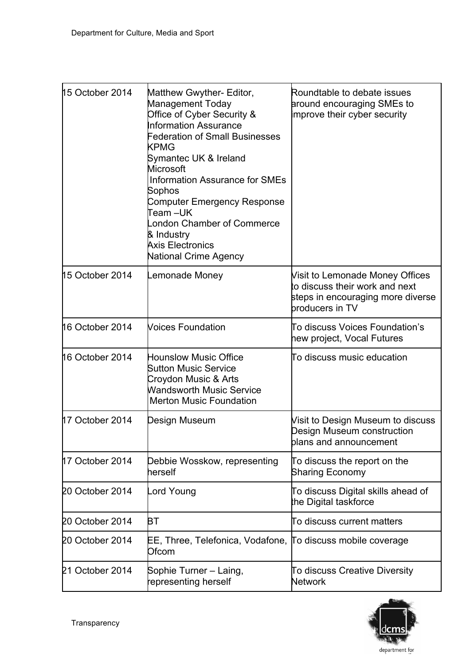| 15 October 2014 | Matthew Gwyther- Editor,<br>Management Today<br>Office of Cyber Security &<br><b>Information Assurance</b><br><b>Federation of Small Businesses</b><br><b>KPMG</b><br>Symantec UK & Ireland<br>Microsoft<br><b>Information Assurance for SMEs</b><br>Sophos<br>Computer Emergency Response<br>Team –UK<br>ondon Chamber of Commerce<br>& Industry<br><b>Axis Electronics</b><br><b>National Crime Agency</b> | Roundtable to debate issues<br>around encouraging SMEs to<br>mprove their cyber security                                  |
|-----------------|--------------------------------------------------------------------------------------------------------------------------------------------------------------------------------------------------------------------------------------------------------------------------------------------------------------------------------------------------------------------------------------------------------------|---------------------------------------------------------------------------------------------------------------------------|
| 15 October 2014 | emonade Money.                                                                                                                                                                                                                                                                                                                                                                                               | Visit to Lemonade Money Offices<br>to discuss their work and next<br>steps in encouraging more diverse<br>broducers in TV |
| 16 October 2014 | <b>Voices Foundation</b>                                                                                                                                                                                                                                                                                                                                                                                     | To discuss Voices Foundation's<br>hew project, Vocal Futures                                                              |
| 16 October 2014 | <b>Hounslow Music Office</b><br><b>Sutton Music Service</b><br>Croydon Music & Arts<br><b>Wandsworth Music Service</b><br><b>Merton Music Foundation</b>                                                                                                                                                                                                                                                     | To discuss music education                                                                                                |
| 17 October 2014 | Design Museum                                                                                                                                                                                                                                                                                                                                                                                                | Visit to Design Museum to discuss<br>Design Museum construction<br>blans and announcement                                 |
| 17 October 2014 | Debbie Wosskow, representing<br>herself                                                                                                                                                                                                                                                                                                                                                                      | To discuss the report on the<br><b>Sharing Economy</b>                                                                    |
| 20 October 2014 | ord Youngـ                                                                                                                                                                                                                                                                                                                                                                                                   | To discuss Digital skills ahead of<br>the Digital taskforce                                                               |
| 20 October 2014 | BТ                                                                                                                                                                                                                                                                                                                                                                                                           | To discuss current matters                                                                                                |
| 20 October 2014 | EE, Three, Telefonica, Vodafone, To discuss mobile coverage<br>Ofcom                                                                                                                                                                                                                                                                                                                                         |                                                                                                                           |
| 21 October 2014 | Sophie Turner - Laing,<br>epresenting herself                                                                                                                                                                                                                                                                                                                                                                | To discuss Creative Diversity<br><b>Network</b>                                                                           |

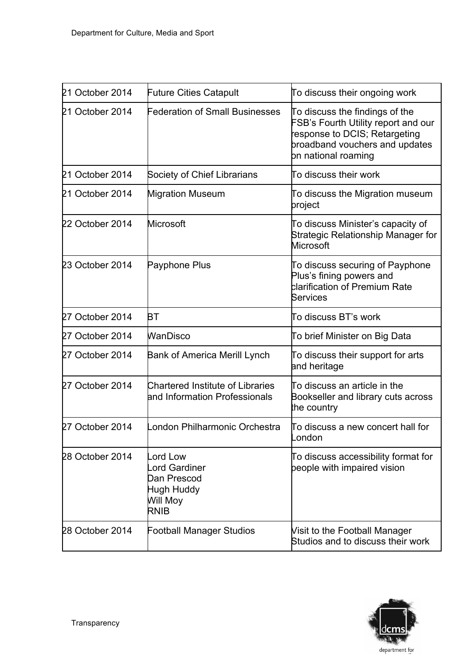| 21 October 2014 | <b>Future Cities Catapult</b>                                            | To discuss their ongoing work                                                                                                                                   |
|-----------------|--------------------------------------------------------------------------|-----------------------------------------------------------------------------------------------------------------------------------------------------------------|
| 21 October 2014 | Federation of Small Businesses                                           | To discuss the findings of the<br>FSB's Fourth Utility report and our<br>response to DCIS; Retargeting<br>broadband vouchers and updates<br>bn national roaming |
| 21 October 2014 | Society of Chief Librarians                                              | To discuss their work                                                                                                                                           |
| 21 October 2014 | <b>Migration Museum</b>                                                  | To discuss the Migration museum<br>project                                                                                                                      |
| 22 October 2014 | Microsoft                                                                | To discuss Minister's capacity of<br><b>Strategic Relationship Manager for</b><br><b>Microsoft</b>                                                              |
| 23 October 2014 | Payphone Plus                                                            | To discuss securing of Payphone<br>Plus's fining powers and<br>clarification of Premium Rate<br><b>Services</b>                                                 |
| 27 October 2014 | BТ                                                                       | To discuss BT's work                                                                                                                                            |
| 27 October 2014 | <b>WanDisco</b>                                                          | To brief Minister on Big Data                                                                                                                                   |
| 27 October 2014 | Bank of America Merill Lynch                                             | To discuss their support for arts<br>and heritage                                                                                                               |
| 27 October 2014 | <b>Chartered Institute of Libraries</b><br>and Information Professionals | To discuss an article in the<br>Bookseller and library cuts across<br>the country                                                                               |
| 27 October 2014 | ondon Philharmonic Orchestra                                             | To discuss a new concert hall for<br>London                                                                                                                     |
| 28 October 2014 | ord Low<br>ord Gardiner<br>Dan Prescod<br>Hugh Huddy<br>Will Moy<br>RNIB | To discuss accessibility format for<br>beople with impaired vision                                                                                              |
| 28 October 2014 | Football Manager Studios                                                 | Visit to the Football Manager<br>Studios and to discuss their work                                                                                              |

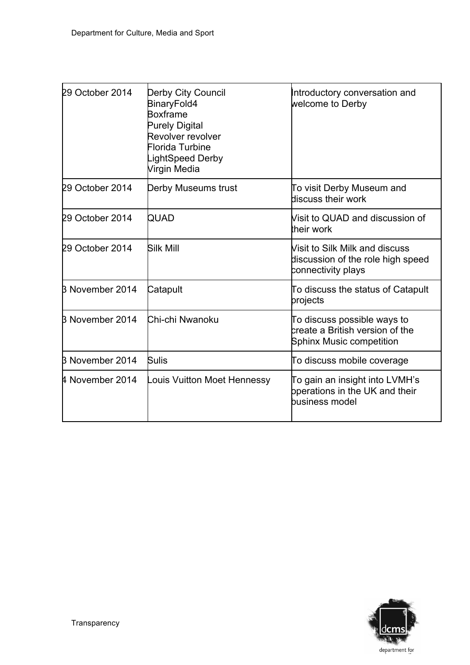| 29 October 2014        | <b>Derby City Council</b><br>BinaryFold4<br><b>Boxframe</b><br><b>Purely Digital</b><br>Revolver revolver<br>Florida Turbine<br>ightSpeed Derby<br>Virgin Media | Introductory conversation and<br>welcome to Derby                                                 |
|------------------------|-----------------------------------------------------------------------------------------------------------------------------------------------------------------|---------------------------------------------------------------------------------------------------|
| 29 October 2014        | Derby Museums trust                                                                                                                                             | To visit Derby Museum and<br>discuss their work                                                   |
| 29 October 2014        | QUAD                                                                                                                                                            | Visit to QUAD and discussion of<br>their work                                                     |
| 29 October 2014        | <b>Silk Mill</b>                                                                                                                                                | Visit to Silk Milk and discuss<br>discussion of the role high speed<br>connectivity plays         |
| <b>B November 2014</b> | Catapult                                                                                                                                                        | To discuss the status of Catapult<br>projects                                                     |
| B November 2014        | Chi-chi Nwanoku                                                                                                                                                 | To discuss possible ways to<br>create a British version of the<br><b>Sphinx Music competition</b> |
| B November 2014        | <b>Sulis</b>                                                                                                                                                    | To discuss mobile coverage                                                                        |
| 4 November 2014        | ouis Vuitton Moet Hennessy                                                                                                                                      | To gain an insight into LVMH's<br>bperations in the UK and their<br>business model                |

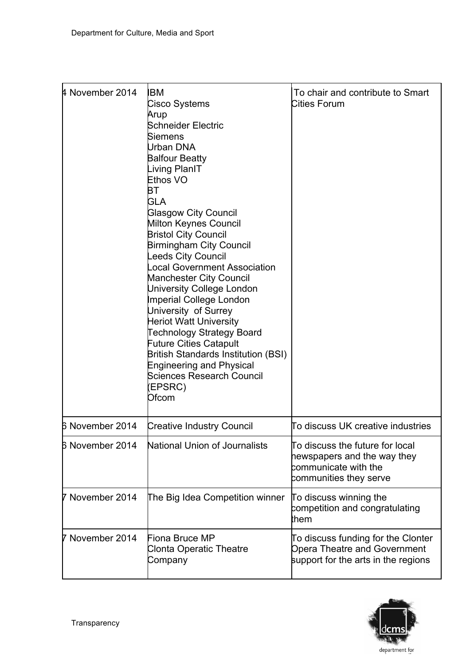| 4 November 2014    | IBM<br>Cisco Systems<br>Arup<br>Schneider Electric<br>Siemens<br>Urban DNA<br><b>Balfour Beatty</b><br>iving PlanIT<br>Ethos VO<br>ВT<br>GLA<br><b>Glasgow City Council</b><br><b>Milton Keynes Council</b><br><b>Bristol City Council</b><br><b>Birmingham City Council</b><br>eeds City Council<br>ocal Government Association<br><b>Manchester City Council</b><br>University College London<br>Imperial College London<br>University of Surrey<br><b>Heriot Watt University</b><br><b>Technology Strategy Board</b><br><b>Future Cities Catapult</b><br><b>British Standards Institution (BSI)</b><br><b>Engineering and Physical</b><br>Sciences Research Council<br>EPSRC)<br>Ofcom | To chair and contribute to Smart<br>Cities Forum                                                                 |
|--------------------|-------------------------------------------------------------------------------------------------------------------------------------------------------------------------------------------------------------------------------------------------------------------------------------------------------------------------------------------------------------------------------------------------------------------------------------------------------------------------------------------------------------------------------------------------------------------------------------------------------------------------------------------------------------------------------------------|------------------------------------------------------------------------------------------------------------------|
| 6 November 2014    | <b>Creative Industry Council</b>                                                                                                                                                                                                                                                                                                                                                                                                                                                                                                                                                                                                                                                          | To discuss UK creative industries                                                                                |
| 6 November 2014    | <b>National Union of Journalists</b>                                                                                                                                                                                                                                                                                                                                                                                                                                                                                                                                                                                                                                                      | To discuss the future for local<br>hewspapers and the way they<br>communicate with the<br>communities they serve |
| November 2014<br>7 | The Big Idea Competition winner                                                                                                                                                                                                                                                                                                                                                                                                                                                                                                                                                                                                                                                           | To discuss winning the<br>competition and congratulating<br>:hem                                                 |
| November 2014      | Fiona Bruce MP<br><b>Clonta Operatic Theatre</b><br>Company                                                                                                                                                                                                                                                                                                                                                                                                                                                                                                                                                                                                                               | To discuss funding for the Clonter<br><b>Opera Theatre and Government</b><br>support for the arts in the regions |

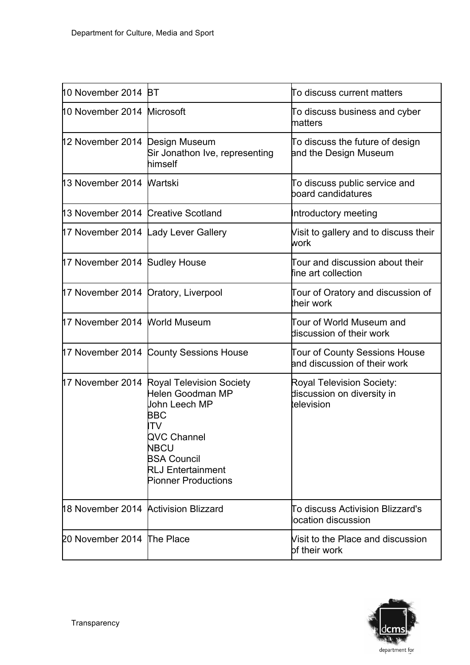| 10 November 2014 BT                  |                                                                                                                                                                                                    | To discuss current matters                                                   |
|--------------------------------------|----------------------------------------------------------------------------------------------------------------------------------------------------------------------------------------------------|------------------------------------------------------------------------------|
| 10 November 2014 Microsoft           |                                                                                                                                                                                                    | To discuss business and cyber<br>matters                                     |
| 12 November 2014 Design Museum       | Sir Jonathon Ive, representing<br>himself                                                                                                                                                          | To discuss the future of design<br>and the Design Museum                     |
| 13 November 2014 Wartski             |                                                                                                                                                                                                    | To discuss public service and<br>board candidatures                          |
| 13 November 2014 Creative Scotland   |                                                                                                                                                                                                    | Introductory meeting                                                         |
| 17 November 2014 Lady Lever Gallery  |                                                                                                                                                                                                    | Visit to gallery and to discuss their<br>work                                |
| 17 November 2014 Sudley House        |                                                                                                                                                                                                    | Tour and discussion about their<br>fine art collection                       |
| 17 November 2014 Dratory, Liverpool  |                                                                                                                                                                                                    | Tour of Oratory and discussion of<br>their work                              |
| 17 November 2014 World Museum        |                                                                                                                                                                                                    | Tour of World Museum and<br>discussion of their work                         |
|                                      | 17 November 2014 County Sessions House                                                                                                                                                             | <b>Tour of County Sessions House</b><br>and discussion of their work         |
|                                      | 17 November 2014 Royal Television Society<br>Helen Goodman MP<br>John Leech MP<br>BBC<br>TV<br>QVC Channel<br>NBCU<br><b>BSA Council</b><br><b>RLJ Entertainment</b><br><b>Pionner Productions</b> | <b>Royal Television Society:</b><br>discussion on diversity in<br>television |
| 18 November 2014 Activision Blizzard |                                                                                                                                                                                                    | To discuss Activision Blizzard's<br>ocation discussion                       |
| 20 November 2014 The Place           |                                                                                                                                                                                                    | Visit to the Place and discussion<br>bf their work                           |

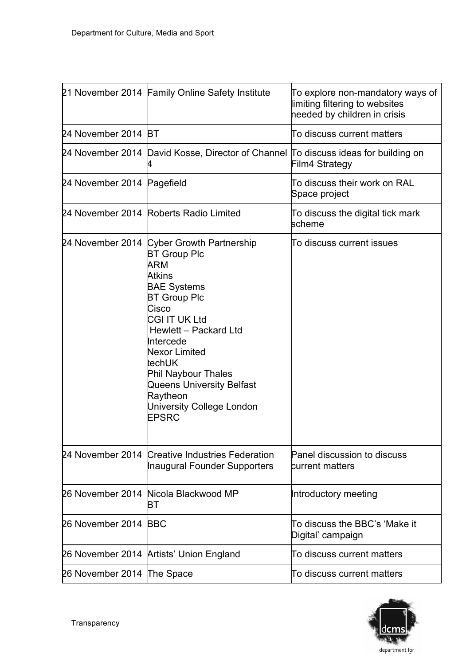|                            | 21 November 2014 Family Online Safety Institute                                                                                                                                                                                                                                                                                              | To explore non-mandatory ways of<br>limiting filtering to websites<br>heeded by children in crisis |
|----------------------------|----------------------------------------------------------------------------------------------------------------------------------------------------------------------------------------------------------------------------------------------------------------------------------------------------------------------------------------------|----------------------------------------------------------------------------------------------------|
| 24 November 2014 BT        |                                                                                                                                                                                                                                                                                                                                              | To discuss current matters                                                                         |
|                            | 24 November 2014 David Kosse, Director of Channel ITo discuss ideas for building on                                                                                                                                                                                                                                                          | Film4 Strategy                                                                                     |
| 24 November 2014 Pagefield |                                                                                                                                                                                                                                                                                                                                              | To discuss their work on RAL<br>Space project                                                      |
|                            | 24 November 2014 Roberts Radio Limited                                                                                                                                                                                                                                                                                                       | To discuss the digital tick mark<br>scheme                                                         |
|                            | 24 November 2014 Cyber Growth Partnership<br><b>BT Group Plc</b><br>ARM<br><b>Atkins</b><br><b>BAE Systems</b><br><b>BT Group Plc</b><br>Cisco<br>CGI IT UK Ltd<br>Hewlett - Packard Ltd<br>ntercede<br><b>Nexor Limited</b><br>:echUK<br>Phil Naybour Thales<br>Queens University Belfast<br>Raytheon<br>University College London<br>EPSRC | To discuss current issues                                                                          |
|                            | 24 November 2014 Creative Industries Federation<br>naugural Founder Supporters                                                                                                                                                                                                                                                               | Panel discussion to discuss<br><b>burrent matters</b>                                              |
| 26 November 2014           | Nicola Blackwood MP<br>ВT                                                                                                                                                                                                                                                                                                                    | Introductory meeting                                                                               |
| 26 November 2014           | <b>BBC</b>                                                                                                                                                                                                                                                                                                                                   | Го discuss the BBC's 'Make it<br>Digital' campaign                                                 |
| 26 November 2014           | <b>Artists' Union England</b>                                                                                                                                                                                                                                                                                                                | Го discuss current matters                                                                         |
| 26 November 2014           | The Space                                                                                                                                                                                                                                                                                                                                    | To discuss current matters                                                                         |

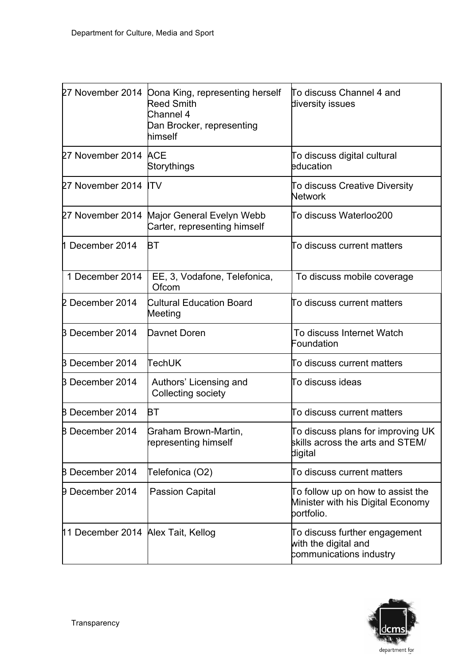|                                    | 27 November 2014 Dona King, representing herself<br><b>Reed Smith</b><br>Channel 4<br>Dan Brocker, representing<br>himself | To discuss Channel 4 and<br>diversity issues                                         |
|------------------------------------|----------------------------------------------------------------------------------------------------------------------------|--------------------------------------------------------------------------------------|
| 27 November 2014 ACE               | Storythings                                                                                                                | To discuss digital cultural<br>education                                             |
| 27 November 2014                   | <b>ITV</b>                                                                                                                 | To discuss Creative Diversity<br><b>Network</b>                                      |
|                                    | 27 November 2014 Major General Evelyn Webb<br>Carter, representing himself                                                 | To discuss Waterloo200                                                               |
| 1 December 2014                    | BТ                                                                                                                         | To discuss current matters                                                           |
| 1 December 2014                    | EE, 3, Vodafone, Telefonica,<br>Ofcom                                                                                      | To discuss mobile coverage                                                           |
| 2 December 2014                    | <b>Cultural Education Board</b><br>Meeting                                                                                 | To discuss current matters                                                           |
| <b>B</b> December 2014             | Davnet Doren                                                                                                               | To discuss Internet Watch<br>Foundation                                              |
| B December 2014                    | <b>TechUK</b>                                                                                                              | To discuss current matters                                                           |
| <b>B</b> December 2014             | Authors' Licensing and<br>Collecting society                                                                               | To discuss ideas                                                                     |
| <b>B</b> December 2014             | BТ                                                                                                                         | To discuss current matters                                                           |
| <b>B</b> December 2014             | Graham Brown-Martin,<br>representing himself                                                                               | To discuss plans for improving UK<br>skills across the arts and STEM/<br>digital     |
| <b>B</b> December 2014             | Telefonica (O2)                                                                                                            | To discuss current matters                                                           |
| <b>9 December 2014</b>             | <b>Passion Capital</b>                                                                                                     | To follow up on how to assist the<br>Minister with his Digital Economy<br>portfolio. |
| 11 December 2014 Alex Tait, Kellog |                                                                                                                            | To discuss further engagement<br>with the digital and<br>communications industry     |